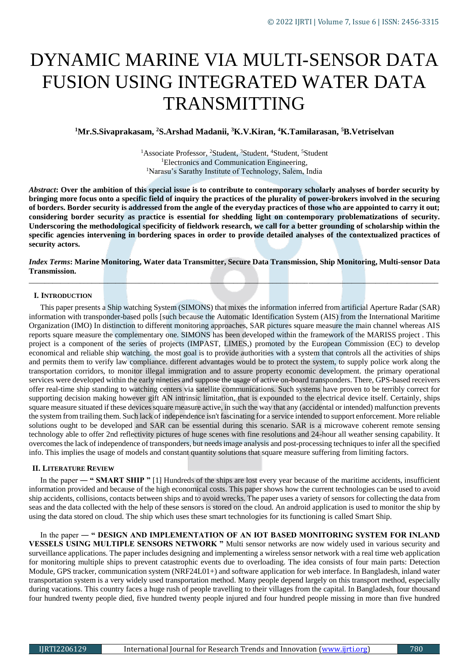# DYNAMIC MARINE VIA MULTI-SENSOR DATA FUSION USING INTEGRATED WATER DATA TRANSMITTING

# **<sup>1</sup>Mr.S.Sivaprakasam, <sup>2</sup>S.Arshad Madanii, <sup>3</sup>K.V.Kiran, <sup>4</sup>K.Tamilarasan, <sup>5</sup>B.Vetriselvan**

<sup>1</sup>Associate Professor, <sup>2</sup>Student, <sup>3</sup>Student, <sup>4</sup>Student, <sup>5</sup>Student <sup>1</sup>Electronics and Communication Engineering, <sup>1</sup>Narasu's Sarathy Institute of Technology, Salem, India

*Abstract***: Over the ambition of this special issue is to contribute to contemporary scholarly analyses of border security by bringing more focus onto a specific field of inquiry the practices of the plurality of power-brokers involved in the securing of borders. Border security is addressed from the angle of the everyday practices of those who are appointed to carry it out; considering border security as practice is essential for shedding light on contemporary problematizations of security. Underscoring the methodological specificity of fieldwork research, we call for a better grounding of scholarship within the specific agencies intervening in bordering spaces in order to provide detailed analyses of the contextualized practices of security actors.**

*Index Terms***: Marine Monitoring, Water data Transmitter, Secure Data Transmission, Ship Monitoring, Multi-sensor Data Transmission.** *\_\_\_\_\_\_\_\_\_\_\_\_\_\_\_\_\_\_\_\_\_\_\_\_\_\_\_\_\_\_\_\_\_\_\_\_\_\_\_\_\_\_\_\_\_\_\_\_\_\_\_\_\_\_\_\_\_\_\_\_\_\_\_\_\_\_\_\_\_\_\_\_\_\_\_\_\_\_\_\_\_\_\_\_\_\_\_\_\_\_\_\_\_\_\_\_\_\_\_\_\_\_\_\_*

## **I. INTRODUCTION**

This paper presents a Ship watching System (SIMONS) that mixes the information inferred from artificial Aperture Radar (SAR) information with transponder-based polls [such because the Automatic Identification System (AIS) from the International Maritime Organization (IMO) In distinction to different monitoring approaches, SAR pictures square measure the main channel whereas AIS reports square measure the complementary one. SIMONS has been developed within the framework of the MARISS project . This project is a component of the series of projects (IMPAST, LIMES,) promoted by the European Commission (EC) to develop economical and reliable ship watching. the most goal is to provide authorities with a system that controls all the activities of ships and permits them to verify law compliance. different advantages would be to protect the system, to supply police work along the transportation corridors, to monitor illegal immigration and to assure property economic development. the primary operational services were developed within the early nineties and suppose the usage of active on-board transponders. There, GPS-based receivers offer real-time ship standing to watching centers via satellite communications. Such systems have proven to be terribly correct for supporting decision making however gift AN intrinsic limitation, that is expounded to the electrical device itself. Certainly, ships square measure situated if these devices square measure active, in such the way that any (accidental or intended) malfunction prevents the system from trailing them. Such lack of independence isn't fascinating for a service intended to support enforcement. More reliable solutions ought to be developed and SAR can be essential during this scenario. SAR is a microwave coherent remote sensing technology able to offer 2nd reflectivity pictures of huge scenes with fine resolutions and 24-hour all weather sensing capability. It overcomes the lack of independence of transponders, but needs image analysis and post-processing techniques to infer all the specified info. This implies the usage of models and constant quantity solutions that square measure suffering from limiting factors.

## **II. LITERATURE REVIEW**

In the paper ― **" SMART SHIP "** [1] Hundreds of the ships are lost every year because of the maritime accidents, insufficient information provided and because of the high economical costs. This paper shows how the current technologies can be used to avoid ship accidents, collisions, contacts between ships and to avoid wrecks. The paper uses a variety of sensors for collecting the data from seas and the data collected with the help of these sensors is stored on the cloud. An android application is used to monitor the ship by using the data stored on cloud. The ship which uses these smart technologies for its functioning is called Smart Ship.

In the paper — " DESIGN AND IMPLEMENTATION OF AN IOT BASED MONITORING SYSTEM FOR INLAND **VESSELS USING MULTIPLE SENSORS NETWORK "** Multi sensor networks are now widely used in various security and surveillance applications. The paper includes designing and implementing a wireless sensor network with a real time web application for monitoring multiple ships to prevent catastrophic events due to overloading. The idea consists of four main parts: Detection Module, GPS tracker, communication system (NRF24L01+) and software application for web interface. In Bangladesh, inland water transportation system is a very widely used transportation method. Many people depend largely on this transport method, especially during vacations. This country faces a huge rush of people travelling to their villages from the capital. In Bangladesh, four thousand four hundred twenty people died, five hundred twenty people injured and four hundred people missing in more than five hundred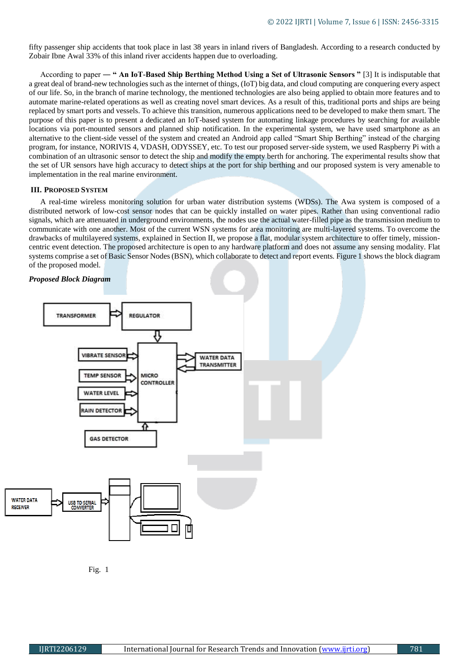fifty passenger ship accidents that took place in last 38 years in inland rivers of Bangladesh. According to a research conducted by Zobair Ibne Awal 33% of this inland river accidents happen due to overloading.

According to paper ― **" An IoT-Based Ship Berthing Method Using a Set of Ultrasonic Sensors "** [3] It is indisputable that a great deal of brand-new technologies such as the internet of things, (IoT) big data, and cloud computing are conquering every aspect of our life. So, in the branch of marine technology, the mentioned technologies are also being applied to obtain more features and to automate marine-related operations as well as creating novel smart devices. As a result of this, traditional ports and ships are being replaced by smart ports and vessels. To achieve this transition, numerous applications need to be developed to make them smart. The purpose of this paper is to present a dedicated an IoT-based system for automating linkage procedures by searching for available locations via port-mounted sensors and planned ship notification. In the experimental system, we have used smartphone as an alternative to the client-side vessel of the system and created an Android app called "Smart Ship Berthing" instead of the charging program, for instance, NORIVIS 4, VDASH, ODYSSEY, etc. To test our proposed server-side system, we used Raspberry Pi with a combination of an ultrasonic sensor to detect the ship and modify the empty berth for anchoring. The experimental results show that the set of UR sensors have high accuracy to detect ships at the port for ship berthing and our proposed system is very amenable to implementation in the real marine environment.

#### **III. PROPOSED SYSTEM**

A real-time wireless monitoring solution for urban water distribution systems (WDSs). The Awa system is composed of a distributed network of low-cost sensor nodes that can be quickly installed on water pipes. Rather than using conventional radio signals, which are attenuated in underground environments, the nodes use the actual water-filled pipe as the transmission medium to communicate with one another. Most of the current WSN systems for area monitoring are multi-layered systems. To overcome the drawbacks of multilayered systems, explained in Section II, we propose a flat, modular system architecture to offer timely, missioncentric event detection. The proposed architecture is open to any hardware platform and does not assume any sensing modality. Flat systems comprise a set of Basic Sensor Nodes (BSN), which collaborate to detect and report events. Figure 1 shows the block diagram of the proposed model.

## *Proposed Block Diagram*



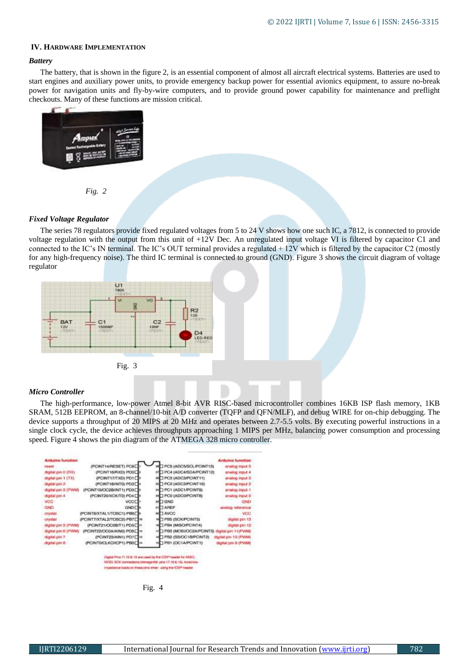# **IV. HARDWARE IMPLEMENTATION**

# *Battery*

The battery, that is shown in the figure 2, is an essential component of almost all aircraft electrical systems. Batteries are used to start engines and auxiliary power units, to provide emergency backup power for essential avionics equipment, to assure no-break power for navigation units and fly-by-wire computers, and to provide ground power capability for maintenance and preflight checkouts. Many of these functions are mission critical.



# *Fixed Voltage Regulator*

The series 78 regulators provide fixed regulated voltages from 5 to 24 V shows how one such IC, a 7812, is connected to provide voltage regulation with the output from this unit of +12V Dec. An unregulated input voltage VI is filtered by capacitor C1 and connected to the IC's IN terminal. The IC's OUT terminal provides a regulated + 12V which is filtered by the capacitor C2 (mostly for any high-frequency noise). The third IC terminal is connected to ground (GND). Figure 3 shows the circuit diagram of voltage regulator





# *Micro Controller*

The high-performance, low-power Atmel 8-bit AVR RISC-based microcontroller combines 16KB ISP flash memory, 1KB SRAM, 512B EEPROM, an 8-channel/10-bit A/D converter (TQFP and QFN/MLF), and debug WIRE for on-chip debugging. The device supports a throughput of 20 MIPS at 20 MHz and operates between 2.7-5.5 volts. By executing powerful instructions in a single clock cycle, the device achieves throughputs approaching 1 MIPS per MHz, balancing power consumption and processing speed. Figure 4 shows the pin diagram of the ATMEGA 328 micro controller.

| <b>Arduino function</b> |                               |                                            | <b>Arduino function</b> |
|-------------------------|-------------------------------|--------------------------------------------|-------------------------|
| 195897                  | (PCINT14/RESET) POBE          | PCS (ADCS/SCL/PC/NT13)                     | anatog Irgut 5          |
| (SPI) O nig laitgát     | (PCINT16/RXD) PDO             | ™ PC4 (ADC4/SDA/PC/NT12)                   | analog input 4          |
| digital pin 1 (TX)      | (PCINT17/TXD) PD1             | PC3 (ADC3/PCINT11)                         | analog input 3          |
| digital pin 2           | (PCINT1BANTO) PD2             | PC2 (ADC2/PCINT10)<br>29                   | analog input 2          |
| digital pin 3 (PWM)     | (PCINT19/OC2B/INT1) PD3       | <b>TPC1 (ADC1/PCINT9)</b>                  | analog irgut 1          |
| digital pin 4           | (PCINT20/XCK/T0) PD4          | <b>J PC0 (ADC0/PCINT8)</b>                 | analog input 0          |
| VCC:                    | VCCE                          | <b>EL GND</b>                              | <b>GND</b>              |
| GND                     | <b>GND</b>                    | <b>JAREF</b><br>21                         | analog reference        |
| crystal                 | (PCINTBOCTAL1/TOSC1) PB6E     | 1 AVCC                                     | VCC                     |
| crystal                 | (PCINT7/XTAL2/TOSC2) PB7 [ 19 | TPB5 (SCK/PC/INT5)                         | digital pin 13          |
| digital pin 5 (PWM)     | (PC/NT21/OC08/T1) PD5L m      | <b>I PB4 (MISO/PCINT4)</b>                 | digital pin 12          |
| digital pin 6 (PWM)     | (PCINT22/OC0A/AIN0) PD6       | PB3 (MOSI/OC2A/PCINT3) digital pin 11(PWM) |                         |
| digital pin 7           | (PCINT23/AIN1) PD7            | TPB2 (SS/OC1B/PCINT2)                      | digital pin-10 (PWM)    |
| digital pin 8           | (PCINTO/CLKO/ICP1) PB0        | PB1 (OC1A/PCINT1)                          | digital pin 9 (PWM)     |

uang me icisa

Fig. 4